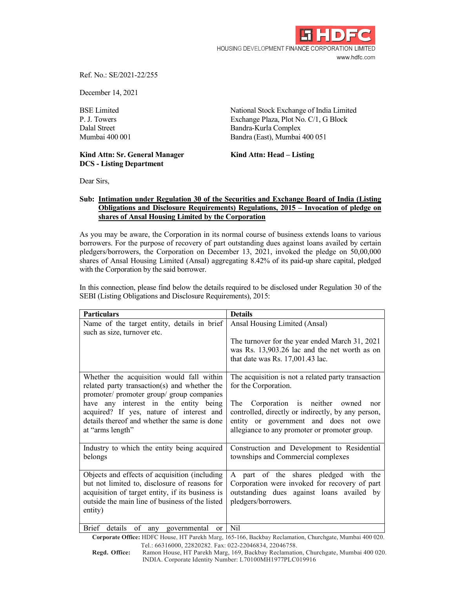

Ref. No.: SE/2021-22/255

December 14, 2021

BSE Limited<br>
P. J. Towers<br>
BSE Limited<br>
P. J. Towers<br>
Stock Exchange Plaza. Plot No. C/1. G Block Exchange Plaza, Plot No. C/1, G Block Dalal Street Bandra-Kurla Complex Mumbai 400 001 Bandra (East), Mumbai 400 051

## Kind Attn: Sr. General Manager Kind Attn: Head – Listing DCS - Listing Department

Dear Sirs,

## Sub: Intimation under Regulation 30 of the Securities and Exchange Board of India (Listing Obligations and Disclosure Requirements) Regulations, 2015 – Invocation of pledge on shares of Ansal Housing Limited by the Corporation

As you may be aware, the Corporation in its normal course of business extends loans to various borrowers. For the purpose of recovery of part outstanding dues against loans availed by certain pledgers/borrowers, the Corporation on December 13, 2021, invoked the pledge on 50,00,000 shares of Ansal Housing Limited (Ansal) aggregating 8.42% of its paid-up share capital, pledged with the Corporation by the said borrower.

In this connection, please find below the details required to be disclosed under Regulation 30 of the SEBI (Listing Obligations and Disclosure Requirements), 2015:

| <b>Particulars</b>                                                                                                                                                                                               | <b>Details</b>                                                                                                                                                                             |
|------------------------------------------------------------------------------------------------------------------------------------------------------------------------------------------------------------------|--------------------------------------------------------------------------------------------------------------------------------------------------------------------------------------------|
| Name of the target entity, details in brief                                                                                                                                                                      | Ansal Housing Limited (Ansal)                                                                                                                                                              |
| such as size, turnover etc.                                                                                                                                                                                      | The turnover for the year ended March 31, 2021<br>was Rs. 13,903.26 lac and the net worth as on<br>that date was Rs. $17,001.43$ lac.                                                      |
| Whether the acquisition would fall within<br>related party transaction(s) and whether the<br>promoter/ promoter group/ group companies                                                                           | The acquisition is not a related party transaction<br>for the Corporation.                                                                                                                 |
| have any interest in the entity being<br>acquired? If yes, nature of interest and<br>details thereof and whether the same is done<br>at "arms length"                                                            | Corporation is neither owned<br>The<br>nor<br>controlled, directly or indirectly, by any person,<br>entity or government and does not owe<br>allegiance to any promoter or promoter group. |
| Industry to which the entity being acquired<br>belongs                                                                                                                                                           | Construction and Development to Residential<br>townships and Commercial complexes                                                                                                          |
| Objects and effects of acquisition (including<br>but not limited to, disclosure of reasons for<br>acquisition of target entity, if its business is<br>outside the main line of business of the listed<br>entity) | A part of the shares pledged with the<br>Corporation were invoked for recovery of part<br>outstanding dues against loans availed by<br>pledgers/borrowers.                                 |
| <b>Brief</b><br>details<br>of<br>any governmental<br><b>or</b>                                                                                                                                                   | N <sub>i</sub>                                                                                                                                                                             |
| Corporate Office: HDFC House, HT Parekh Marg, 165-166, Backbay Reclamation, Churchgate, Mumbai 400 020.                                                                                                          |                                                                                                                                                                                            |

Tel.: 66316000, 22820282. Fax: 022-22046834, 22046758. Regd. Office: Ramon House, HT Parekh Marg, 169, Backbay Reclamation, Churchgate, Mumbai 400 020. INDIA. Corporate Identity Number: L70100MH1977PLC019916